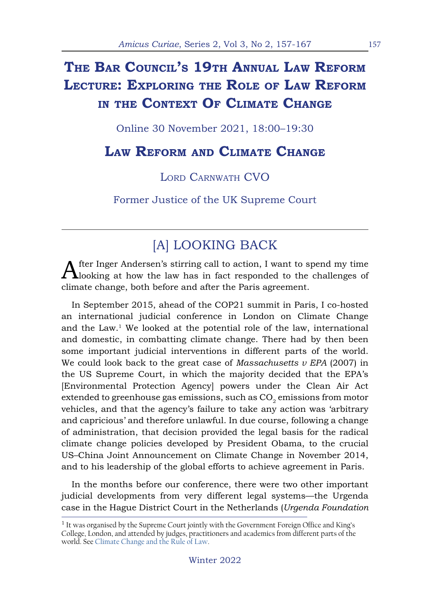# **The Bar Council's 19th Annual Law Reform Lecture: Exploring the Role of Law Reform in the Context Of Climate Change**

Online 30 November 2021, 18:00–19:30

### **Law Reform and Climate Change**

LORD CARNWATH CVO

Former Justice of the UK Supreme Court

## [A] LOOKING BACK

After Inger Andersen's stirring call to action, I want to spend my time looking at how the law has in fact responded to the challenges of climate change, both before and after the Paris agreement.

In September 2015, ahead of the COP21 summit in Paris, I co-hosted an international judicial conference in London on Climate Change and the  $Law<sup>1</sup>$ . We looked at the potential role of the law, international and domestic, in combatting climate change. There had by then been some important judicial interventions in different parts of the world. We could look back to the great case of *Massachusetts v EPA* (2007) in the US Supreme Court, in which the majority decided that the EPA's [Environmental Protection Agency] powers under the Clean Air Act extended to greenhouse gas emissions, such as  $CO<sub>2</sub>$  emissions from motor vehicles, and that the agency's failure to take any action was 'arbitrary and capricious' and therefore unlawful. In due course, following a change of administration, that decision provided the legal basis for the radical climate change policies developed by President Obama, to the crucial US–China Joint Announcement on Climate Change in November 2014, and to his leadership of the global efforts to achieve agreement in Paris.

In the months before our conference, there were two other important judicial developments from very different legal systems—the Urgenda case in the Hague District Court in the Netherlands (*Urgenda Foundation* 

<sup>&</sup>lt;sup>1</sup> It was organised by the Supreme Court jointly with the Government Foreign Office and King's College, London, and attended by judges, practitioners and academics from different parts of the world. See [Climate Change and the Rule of Law.](https://www.kcl.ac.uk/archive/news/law/climate-courts/index)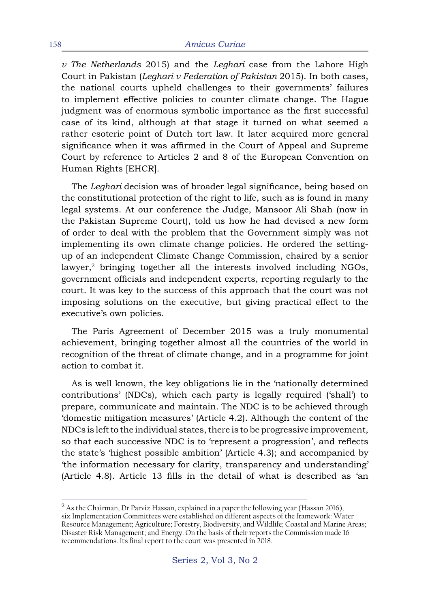*v The Netherlands* 2015) and the *Leghari* case from the Lahore High Court in Pakistan (*Leghari v Federation of Pakistan* 2015). In both cases, the national courts upheld challenges to their governments' failures to implement effective policies to counter climate change. The Hague judgment was of enormous symbolic importance as the first successful case of its kind, although at that stage it turned on what seemed a rather esoteric point of Dutch tort law. It later acquired more general significance when it was affirmed in the Court of Appeal and Supreme Court by reference to Articles 2 and 8 of the European Convention on Human Rights [EHCR].

The *Leghari* decision was of broader legal significance, being based on the constitutional protection of the right to life, such as is found in many legal systems. At our conference the Judge, Mansoor Ali Shah (now in the Pakistan Supreme Court), told us how he had devised a new form of order to deal with the problem that the Government simply was not implementing its own climate change policies. He ordered the settingup of an independent Climate Change Commission, chaired by a senior lawyer, $2$  bringing together all the interests involved including NGOs, government officials and independent experts, reporting regularly to the court. It was key to the success of this approach that the court was not imposing solutions on the executive, but giving practical effect to the executive's own policies.

The Paris Agreement of December 2015 was a truly monumental achievement, bringing together almost all the countries of the world in recognition of the threat of climate change, and in a programme for joint action to combat it.

As is well known, the key obligations lie in the 'nationally determined contributions' (NDCs), which each party is legally required ('shall') to prepare, communicate and maintain. The NDC is to be achieved through 'domestic mitigation measures' (Article 4.2). Although the content of the NDCs is left to the individual states, there is to be progressive improvement, so that each successive NDC is to 'represent a progression', and reflects the state's 'highest possible ambition' (Article 4.3); and accompanied by 'the information necessary for clarity, transparency and understanding' (Article 4.8). Article 13 fills in the detail of what is described as 'an

<sup>&</sup>lt;sup>2</sup> As the Chairman, Dr Parviz Hassan, explained in a paper the following year (Hassan 2016), six Implementation Committees were established on different aspects of the framework: Water Resource Management; Agriculture; Forestry, Biodiversity, and Wildlife; Coastal and Marine Areas; Disaster Risk Management; and Energy. On the basis of their reports the Commission made 16 recommendations. Its final report to the court was presented in 2018.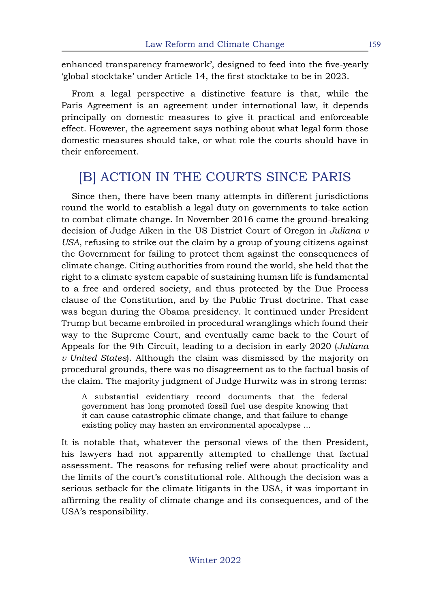enhanced transparency framework', designed to feed into the five-yearly 'global stocktake' under Article 14, the first stocktake to be in 2023.

From a legal perspective a distinctive feature is that, while the Paris Agreement is an agreement under international law, it depends principally on domestic measures to give it practical and enforceable effect. However, the agreement says nothing about what legal form those domestic measures should take, or what role the courts should have in their enforcement.

## [B] ACTION IN THE COURTS SINCE PARIS

Since then, there have been many attempts in different jurisdictions round the world to establish a legal duty on governments to take action to combat climate change. In November 2016 came the ground-breaking decision of Judge Aiken in the US District Court of Oregon in *Juliana v USA*, refusing to strike out the claim by a group of young citizens against the Government for failing to protect them against the consequences of climate change. Citing authorities from round the world, she held that the right to a climate system capable of sustaining human life is fundamental to a free and ordered society, and thus protected by the Due Process clause of the Constitution, and by the Public Trust doctrine. That case was begun during the Obama presidency. It continued under President Trump but became embroiled in procedural wranglings which found their way to the Supreme Court, and eventually came back to the Court of Appeals for the 9th Circuit, leading to a decision in early 2020 (*Juliana v United States*). Although the claim was dismissed by the majority on procedural grounds, there was no disagreement as to the factual basis of the claim. The majority judgment of Judge Hurwitz was in strong terms:

A substantial evidentiary record documents that the federal government has long promoted fossil fuel use despite knowing that it can cause catastrophic climate change, and that failure to change existing policy may hasten an environmental apocalypse ...

It is notable that, whatever the personal views of the then President, his lawyers had not apparently attempted to challenge that factual assessment. The reasons for refusing relief were about practicality and the limits of the court's constitutional role. Although the decision was a serious setback for the climate litigants in the USA, it was important in affirming the reality of climate change and its consequences, and of the USA's responsibility.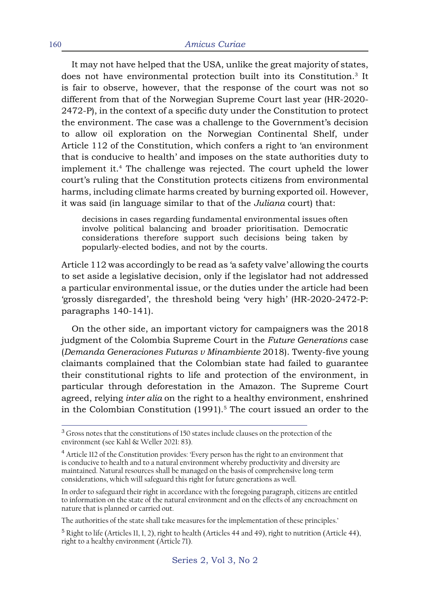It may not have helped that the USA, unlike the great majority of states, does not have environmental protection built into its Constitution.3 It is fair to observe, however, that the response of the court was not so different from that of the Norwegian Supreme Court last year (HR-2020- 2472-P), in the context of a specific duty under the Constitution to protect the environment. The case was a challenge to the Government's decision to allow oil exploration on the Norwegian Continental Shelf, under Article 112 of the Constitution, which confers a right to 'an environment that is conducive to health' and imposes on the state authorities duty to implement it.4 The challenge was rejected. The court upheld the lower court's ruling that the Constitution protects citizens from environmental harms, including climate harms created by burning exported oil. However, it was said (in language similar to that of the *Juliana* court) that:

decisions in cases regarding fundamental environmental issues often involve political balancing and broader prioritisation. Democratic considerations therefore support such decisions being taken by popularly-elected bodies, and not by the courts.

Article 112 was accordingly to be read as 'a safety valve' allowing the courts to set aside a legislative decision, only if the legislator had not addressed a particular environmental issue, or the duties under the article had been 'grossly disregarded', the threshold being 'very high' (HR-2020-2472-P: paragraphs 140-141).

On the other side, an important victory for campaigners was the 2018 judgment of the Colombia Supreme Court in the *Future Generations* case (*Demanda Generaciones Futuras v Minambiente* 2018). Twenty-five young claimants complained that the Colombian state had failed to guarantee their constitutional rights to life and protection of the environment, in particular through deforestation in the Amazon. The Supreme Court agreed, relying *inter alia* on the right to a healthy environment, enshrined in the Colombian Constitution  $(1991).<sup>5</sup>$  The court issued an order to the

<sup>&</sup>lt;sup>3</sup> Gross notes that the constitutions of 150 states include clauses on the protection of the environment (see Kahl & Weller 2021: 83).

<sup>&</sup>lt;sup>4</sup> Article 112 of the Constitution provides: 'Every person has the right to an environment that is conducive to health and to a natural environment whereby productivity and diversity are maintained. Natural resources shall be managed on the basis of comprehensive long-term considerations, which will safeguard this right for future generations as well.

In order to safeguard their right in accordance with the foregoing paragraph, citizens are entitled to information on the state of the natural environment and on the effects of any encroachment on nature that is planned or carried out.

The authorities of the state shall take measures for the implementation of these principles.'

 $5$  Right to life (Articles 11, 1, 2), right to health (Articles 44 and 49), right to nutrition (Article 44), right to a healthy environment (Article 71).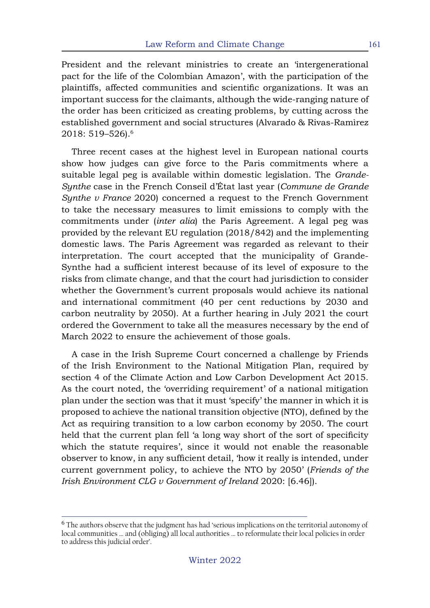President and the relevant ministries to create an 'intergenerational pact for the life of the Colombian Amazon', with the participation of the plaintiffs, affected communities and scientific organizations. It was an important success for the claimants, although the wide-ranging nature of the order has been criticized as creating problems, by cutting across the established government and social structures (Alvarado & Rivas-Ramìrez 2018: 519–526).6

Three recent cases at the highest level in European national courts show how judges can give force to the Paris commitments where a suitable legal peg is available within domestic legislation. The *Grande-Synthe* case in the French Conseil d'État last year (*Commune de Grande Synthe v France* 2020) concerned a request to the French Government to take the necessary measures to limit emissions to comply with the commitments under (*inter alia*) the Paris Agreement. A legal peg was provided by the relevant EU regulation (2018/842) and the implementing domestic laws. The Paris Agreement was regarded as relevant to their interpretation. The court accepted that the municipality of Grande-Synthe had a sufficient interest because of its level of exposure to the risks from climate change, and that the court had jurisdiction to consider whether the Government's current proposals would achieve its national and international commitment (40 per cent reductions by 2030 and carbon neutrality by 2050). At a further hearing in July 2021 the court ordered the Government to take all the measures necessary by the end of March 2022 to ensure the achievement of those goals.

A case in the Irish Supreme Court concerned a challenge by Friends of the Irish Environment to the National Mitigation Plan, required by section 4 of the Climate Action and Low Carbon Development Act 2015. As the court noted, the 'overriding requirement' of a national mitigation plan under the section was that it must 'specify' the manner in which it is proposed to achieve the national transition objective (NTO), defined by the Act as requiring transition to a low carbon economy by 2050. The court held that the current plan fell 'a long way short of the sort of specificity which the statute requires', since it would not enable the reasonable observer to know, in any sufficient detail, 'how it really is intended, under current government policy, to achieve the NTO by 2050' (*Friends of the Irish Environment CLG v Government of Ireland* 2020: [6.46]).

<sup>&</sup>lt;sup>6</sup> The authors observe that the judgment has had 'serious implications on the territorial autonomy of local communities ... and (obliging) all local authorities ... to reformulate their local policies in order to address this judicial order'.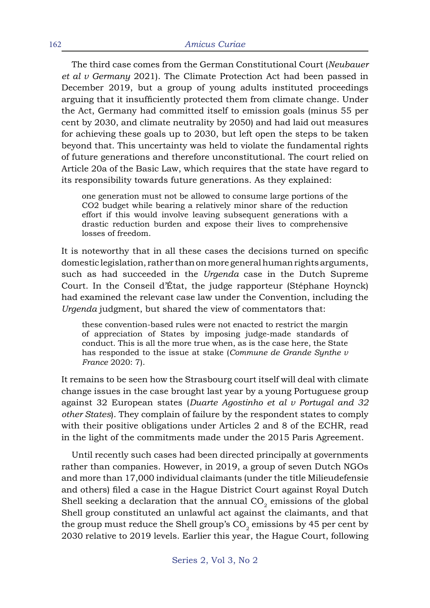The third case comes from the German Constitutional Court (*Neubauer et al v Germany* 2021). The Climate Protection Act had been passed in December 2019, but a group of young adults instituted proceedings arguing that it insufficiently protected them from climate change. Under the Act, Germany had committed itself to emission goals (minus 55 per cent by 2030, and climate neutrality by 2050) and had laid out measures for achieving these goals up to 2030, but left open the steps to be taken beyond that. This uncertainty was held to violate the fundamental rights of future generations and therefore unconstitutional. The court relied on Article 20a of the Basic Law, which requires that the state have regard to its responsibility towards future generations. As they explained:

one generation must not be allowed to consume large portions of the CO2 budget while bearing a relatively minor share of the reduction effort if this would involve leaving subsequent generations with a drastic reduction burden and expose their lives to comprehensive losses of freedom.

It is noteworthy that in all these cases the decisions turned on specific domestic legislation, rather than on more general human rights arguments, such as had succeeded in the *Urgenda* case in the Dutch Supreme Court. In the Conseil d'État, the judge rapporteur (Stéphane Hoynck) had examined the relevant case law under the Convention, including the *Urgenda* judgment, but shared the view of commentators that:

these convention-based rules were not enacted to restrict the margin of appreciation of States by imposing judge-made standards of conduct. This is all the more true when, as is the case here, the State has responded to the issue at stake (*Commune de Grande Synthe v France* 2020: 7).

It remains to be seen how the Strasbourg court itself will deal with climate change issues in the case brought last year by a young Portuguese group against 32 European states (*Duarte Agostinho et al v Portugal and 32 other States*). They complain of failure by the respondent states to comply with their positive obligations under Articles 2 and 8 of the ECHR, read in the light of the commitments made under the 2015 Paris Agreement.

Until recently such cases had been directed principally at governments rather than companies. However, in 2019, a group of seven Dutch NGOs and more than 17,000 individual claimants (under the title Milieudefensie and others) filed a case in the Hague District Court against Royal Dutch Shell seeking a declaration that the annual  $CO<sub>2</sub>$  emissions of the global Shell group constituted an unlawful act against the claimants, and that the group must reduce the Shell group's  $CO<sub>2</sub>$  emissions by 45 per cent by 2030 relative to 2019 levels. Earlier this year, the Hague Court, following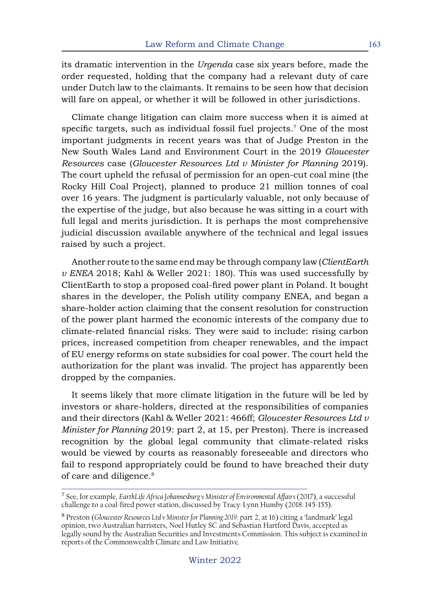its dramatic intervention in the *Urgenda* case six years before, made the order requested, holding that the company had a relevant duty of care under Dutch law to the claimants. It remains to be seen how that decision will fare on appeal, or whether it will be followed in other jurisdictions.

Climate change litigation can claim more success when it is aimed at specific targets, such as individual fossil fuel projects.<sup>7</sup> One of the most important judgments in recent years was that of Judge Preston in the New South Wales Land and Environment Court in the 2019 *Gloucester Resources* case (*Gloucester Resources Ltd v Minister for Planning* 2019). The court upheld the refusal of permission for an open-cut coal mine (the Rocky Hill Coal Project), planned to produce 21 million tonnes of coal over 16 years. The judgment is particularly valuable, not only because of the expertise of the judge, but also because he was sitting in a court with full legal and merits jurisdiction. It is perhaps the most comprehensive judicial discussion available anywhere of the technical and legal issues raised by such a project.

Another route to the same end may be through company law (*ClientEarth v ENEA* 2018; Kahl & Weller 2021: 180). This was used successfully by ClientEarth to stop a proposed coal-fired power plant in Poland. It bought shares in the developer, the Polish utility company ENEA, and began a share-holder action claiming that the consent resolution for construction of the power plant harmed the economic interests of the company due to climate-related financial risks. They were said to include: rising carbon prices, increased competition from cheaper renewables, and the impact of EU energy reforms on state subsidies for coal power. The court held the authorization for the plant was invalid. The project has apparently been dropped by the companies.

It seems likely that more climate litigation in the future will be led by investors or share-holders, directed at the responsibilities of companies and their directors (Kahl & Weller 2021: 466ff; *Gloucester Resources Ltd v Minister for Planning* 2019: part 2, at 15, per Preston). There is increased recognition by the global legal community that climate-related risks would be viewed by courts as reasonably foreseeable and directors who fail to respond appropriately could be found to have breached their duty of care and diligence.<sup>8</sup>

<sup>&</sup>lt;sup>7</sup> See, for example, *EarthLife Africa Johannesburg v Minister of Environmental Affairs (2017)*, a successful challenge to a coal-fired power station, discussed by Tracy-Lynn Humby (2018: 145-155).

<sup>8</sup> Preston (*Gloucester Resources Ltd v Minister for Planning 2019*: part 2, at 16) citing a 'landmark' legal opinion, two Australian barristers, Noel Hutley SC and Sebastian Hartford Davis, accepted as legally sound by the Australian Securities and Investments Commission. This subject is examined in reports of the Commonwealth Climate and Law Initiative.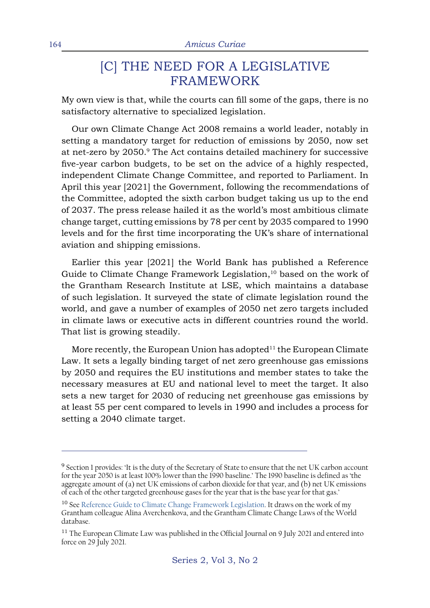### [C] THE NEED FOR A LEGISLATIVE FRAMEWORK

My own view is that, while the courts can fill some of the gaps, there is no satisfactory alternative to specialized legislation.

Our own Climate Change Act 2008 remains a world leader, notably in setting a mandatory target for reduction of emissions by 2050, now set at net-zero by 2050.9 The Act contains detailed machinery for successive five-year carbon budgets, to be set on the advice of a highly respected, independent Climate Change Committee, and reported to Parliament. In April this year [2021] the Government, following the recommendations of the Committee, adopted the sixth carbon budget taking us up to the end of 2037. The press release hailed it as the world's most ambitious climate change target, cutting emissions by 78 per cent by 2035 compared to 1990 levels and for the first time incorporating the UK's share of international aviation and shipping emissions.

Earlier this year [2021] the World Bank has published a Reference Guide to Climate Change Framework Legislation,<sup>10</sup> based on the work of the Grantham Research Institute at LSE, which maintains a database of such legislation. It surveyed the state of climate legislation round the world, and gave a number of examples of 2050 net zero targets included in climate laws or executive acts in different countries round the world. That list is growing steadily.

More recently, the European Union has adopted $11$  the European Climate Law. It sets a legally binding target of net zero greenhouse gas emissions by 2050 and requires the EU institutions and member states to take the necessary measures at EU and national level to meet the target. It also sets a new target for 2030 of reducing net greenhouse gas emissions by at least 55 per cent compared to levels in 1990 and includes a process for setting a 2040 climate target.

<sup>&</sup>lt;sup>9</sup> Section 1 provides: 'It is the duty of the Secretary of State to ensure that the net UK carbon account for the year 2050 is at least 100% lower than the 1990 baseline.' The 1990 baseline is defined as 'the aggregate amount of (a) net UK emissions of carbon dioxide for that year, and (b) net UK emissions of each of the other targeted greenhouse gases for the year that is the base year for that gas.'

<sup>&</sup>lt;sup>10</sup> See [Reference Guide to Climate Change Framework Legislation](https://openknowledge.worldbank.org/handle/10986/34972). It draws on the work of my Grantham colleague Alina Averchenkova, and the Grantham Climate Change Laws of the World database.

<sup>&</sup>lt;sup>11</sup> The European Climate Law was published in the Official Journal on 9 July 2021 and entered into force on 29 July 2021.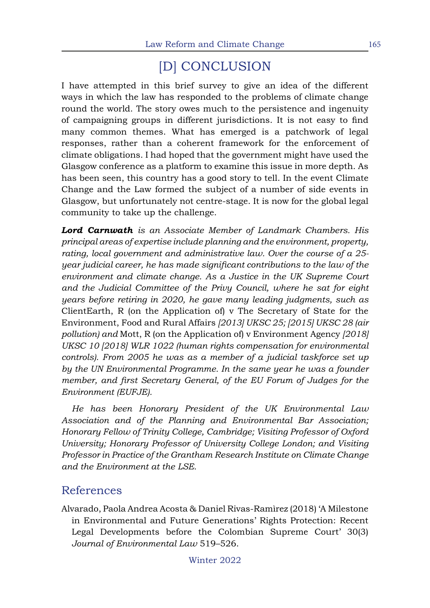## [D] CONCLUSION

I have attempted in this brief survey to give an idea of the different ways in which the law has responded to the problems of climate change round the world. The story owes much to the persistence and ingenuity of campaigning groups in different jurisdictions. It is not easy to find many common themes. What has emerged is a patchwork of legal responses, rather than a coherent framework for the enforcement of climate obligations. I had hoped that the government might have used the Glasgow conference as a platform to examine this issue in more depth. As has been seen, this country has a good story to tell. In the event Climate Change and the Law formed the subject of a number of side events in Glasgow, but unfortunately not centre-stage. It is now for the global legal community to take up the challenge.

*Lord Carnwath is an Associate Member of Landmark Chambers. His principal areas of expertise include planning and the environment, property, rating, local government and administrative law. Over the course of a 25 year judicial career, he has made significant contributions to the law of the environment and climate change. As a Justice in the UK Supreme Court and the Judicial Committee of the Privy Council, where he sat for eight years before retiring in 2020, he gave many leading judgments, such as*  ClientEarth, R (on the Application of) v The Secretary of State for the Environment, Food and Rural Affairs *[2013] UKSC 25; [2015] UKSC 28 (air pollution) and* Mott, R (on the Application of) v Environment Agency *[2018] UKSC 10 [2018] WLR 1022 (human rights compensation for environmental controls). From 2005 he was as a member of a judicial taskforce set up by the UN Environmental Programme. In the same year he was a founder member, and first Secretary General, of the EU Forum of Judges for the Environment (EUFJE).*

*He has been Honorary President of the UK Environmental Law Association and of the Planning and Environmental Bar Association; Honorary Fellow of Trinity College, Cambridge; Visiting Professor of Oxford University; Honorary Professor of University College London; and Visiting Professor in Practice of the Grantham Research Institute on Climate Change and the Environment at the LSE.*

#### References

Alvarado, Paola Andrea Acosta & Daniel Rivas-Ramìrez (2018) 'A Milestone in Environmental and Future Generations' Rights Protection: Recent Legal Developments before the Colombian Supreme Court' 30(3) *Journal of Environmental Law* 519–526.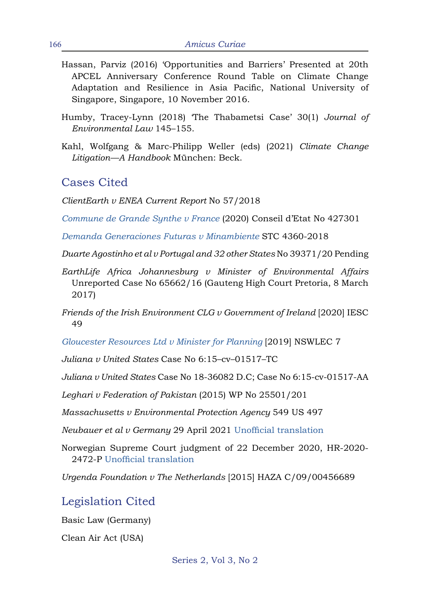- Hassan, Parviz (2016) 'Opportunities and Barriers' Presented at 20th APCEL Anniversary Conference Round Table on Climate Change Adaptation and Resilience in Asia Pacific, National University of Singapore, Singapore, 10 November 2016.
- Humby, Tracey-Lynn (2018) 'The Thabametsi Case' 30(1) *Journal of Environmental Law* 145–155.
- Kahl, Wolfgang & Marc-Philipp Weller (eds) (2021) *Climate Change Litigation—A Handbook* München: Beck.

#### Cases Cited

*ClientEarth v ENEA Current Report* No 57/2018

*[Commune de Grande Synthe v France](http://climatecasechart.com/non-us-case/commune-de-grande-synthe-v-france/)* (2020) Conseil d'Etat No 427301

*[Demanda Generaciones Futuras v Minambiente](https://www.dejusticia.org/en/climate-change-and-future-generations-lawsuit-in-colombia-key-excerpts-from-the-supreme-courts-decision/)* STC 4360-2018

*Duarte Agostinho et al v Portugal and 32 other States* No 39371/20 Pending

- *EarthLife Africa Johannesburg v Minister of Environmental Affairs*  Unreported Case No 65662/16 (Gauteng High Court Pretoria, 8 March 2017)
- *Friends of the Irish Environment CLG v Government of Ireland* [2020] IESC 49

*[Gloucester Resources Ltd v Minister for Planning](https://elaw.org/system/files/attachments/publicresource/AU_GloucesterResources_8Feb2019.pdf)* [2019] NSWLEC 7

*Juliana v United States* Case No 6:15–cv–01517–TC

*Juliana v United States* Case No 18-36082 D.C; Case No 6:15-cv-01517-AA

*Leghari v Federation of Pakistan* (2015) WP No 25501/201

*Massachusetts v Environmental Protection Agency* 549 US 497

*Neubauer et al v Germany* 29 April 2021 [Unofficial translation](http://climatecasechart.com/climate-change-litigation/non-us-case/neubauer-et-al-v-germany/)

Norwegian Supreme Court judgment of 22 December 2020, HR-2020- 2472-P [Unofficial translation](https://www.klimasøksmål.no/wp-content/uploads/2021/01/judgement_translated.pdf)

*Urgenda Foundation v The Netherlands* [2015] HAZA C/09/00456689

Legislation Cited

Basic Law (Germany)

Clean Air Act (USA)